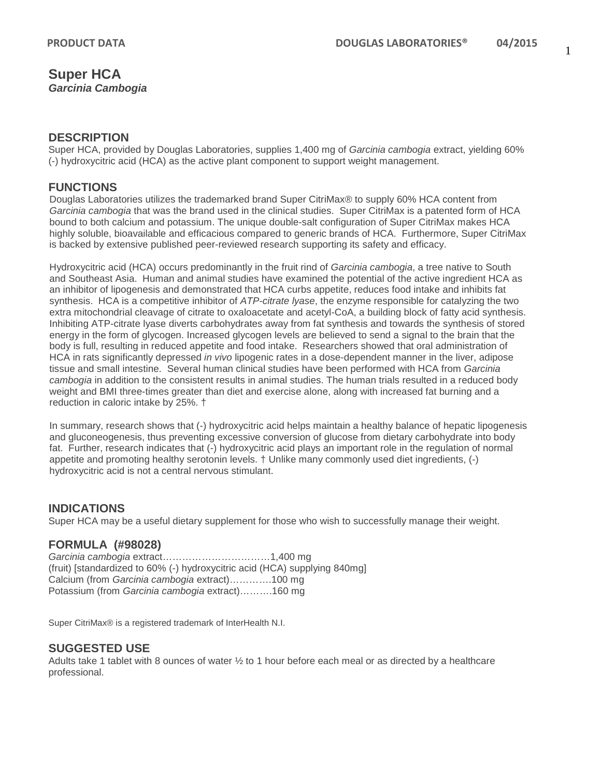# **Super HCA** *Garcinia Cambogia*

#### **DESCRIPTION**

Super HCA, provided by Douglas Laboratories, supplies 1,400 mg of *Garcinia cambogia* extract, yielding 60% (-) hydroxycitric acid (HCA) as the active plant component to support weight management.

# **FUNCTIONS**

Douglas Laboratories utilizes the trademarked brand Super CitriMax® to supply 60% HCA content from *Garcinia cambogia* that was the brand used in the clinical studies. Super CitriMax is a patented form of HCA bound to both calcium and potassium. The unique double-salt configuration of Super CitriMax makes HCA highly soluble, bioavailable and efficacious compared to generic brands of HCA. Furthermore, Super CitriMax is backed by extensive published peer-reviewed research supporting its safety and efficacy.

Hydroxycitric acid (HCA) occurs predominantly in the fruit rind of *Garcinia cambogia*, a tree native to South and Southeast Asia. Human and animal studies have examined the potential of the active ingredient HCA as an inhibitor of lipogenesis and demonstrated that HCA curbs appetite, reduces food intake and inhibits fat synthesis. HCA is a competitive inhibitor of *ATP-citrate lyase*, the enzyme responsible for catalyzing the two extra mitochondrial cleavage of citrate to oxaloacetate and acetyl-CoA, a building block of fatty acid synthesis. Inhibiting ATP-citrate lyase diverts carbohydrates away from fat synthesis and towards the synthesis of stored energy in the form of glycogen. Increased glycogen levels are believed to send a signal to the brain that the body is full, resulting in reduced appetite and food intake. Researchers showed that oral administration of HCA in rats significantly depressed *in vivo* lipogenic rates in a dose-dependent manner in the liver, adipose tissue and small intestine. Several human clinical studies have been performed with HCA from *Garcinia cambogia* in addition to the consistent results in animal studies. The human trials resulted in a reduced body weight and BMI three-times greater than diet and exercise alone, along with increased fat burning and a reduction in caloric intake by 25%. †

In summary, research shows that (-) hydroxycitric acid helps maintain a healthy balance of hepatic lipogenesis and gluconeogenesis, thus preventing excessive conversion of glucose from dietary carbohydrate into body fat. Further, research indicates that (-) hydroxycitric acid plays an important role in the regulation of normal appetite and promoting healthy serotonin levels. † Unlike many commonly used diet ingredients, (-) hydroxycitric acid is not a central nervous stimulant.

## **INDICATIONS**

Super HCA may be a useful dietary supplement for those who wish to successfully manage their weight.

## **FORMULA (#98028)**

*Garcinia cambogia* extract……………………………1,400 mg (fruit) [standardized to 60% (-) hydroxycitric acid (HCA) supplying 840mg] Calcium (from *Garcinia cambogia* extract)………….100 mg Potassium (from *Garcinia cambogia* extract)……….160 mg

Super CitriMax® is a registered trademark of InterHealth N.I.

#### **SUGGESTED USE**

Adults take 1 tablet with 8 ounces of water  $\frac{1}{2}$  to 1 hour before each meal or as directed by a healthcare professional.